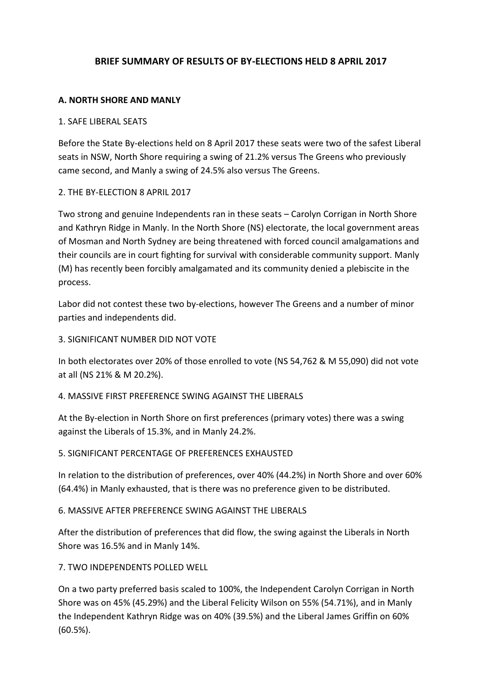## **BRIEF SUMMARY OF RESULTS OF BY-ELECTIONS HELD 8 APRIL 2017**

### **A. NORTH SHORE AND MANLY**

#### 1. SAFE LIBERAL SEATS

Before the State By-elections held on 8 April 2017 these seats were two of the safest Liberal seats in NSW, North Shore requiring a swing of 21.2% versus The Greens who previously came second, and Manly a swing of 24.5% also versus The Greens.

### 2. THE BY-ELECTION 8 APRIL 2017

Two strong and genuine Independents ran in these seats – Carolyn Corrigan in North Shore and Kathryn Ridge in Manly. In the North Shore (NS) electorate, the local government areas of Mosman and North Sydney are being threatened with forced council amalgamations and their councils are in court fighting for survival with considerable community support. Manly (M) has recently been forcibly amalgamated and its community denied a plebiscite in the process.

Labor did not contest these two by-elections, however The Greens and a number of minor parties and independents did.

### 3. SIGNIFICANT NUMBER DID NOT VOTE

In both electorates over 20% of those enrolled to vote (NS 54,762 & M 55,090) did not vote at all (NS 21% & M 20.2%).

#### 4. MASSIVE FIRST PREFERENCE SWING AGAINST THE LIBERALS

At the By-election in North Shore on first preferences (primary votes) there was a swing against the Liberals of 15.3%, and in Manly 24.2%.

### 5. SIGNIFICANT PERCENTAGE OF PREFERENCES EXHAUSTED

In relation to the distribution of preferences, over 40% (44.2%) in North Shore and over 60% (64.4%) in Manly exhausted, that is there was no preference given to be distributed.

#### 6. MASSIVE AFTER PREFERENCE SWING AGAINST THE LIBERALS

After the distribution of preferences that did flow, the swing against the Liberals in North Shore was 16.5% and in Manly 14%.

### 7. TWO INDEPENDENTS POLLED WELL

On a two party preferred basis scaled to 100%, the Independent Carolyn Corrigan in North Shore was on 45% (45.29%) and the Liberal Felicity Wilson on 55% (54.71%), and in Manly the Independent Kathryn Ridge was on 40% (39.5%) and the Liberal James Griffin on 60% (60.5%).